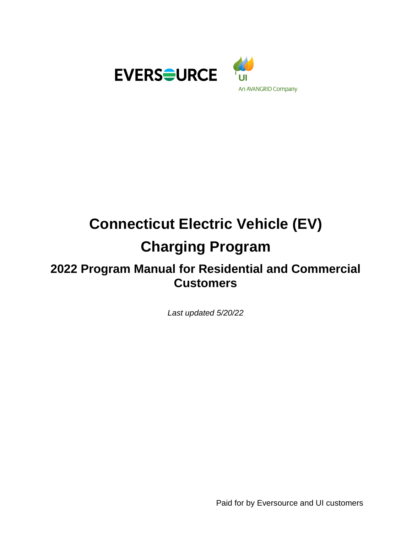



# **Connecticut Electric Vehicle (EV) Charging Program**

## **2022 Program Manual for Residential and Commercial Customers**

*Last updated 5/20/22*

Paid for by Eversource and UI customers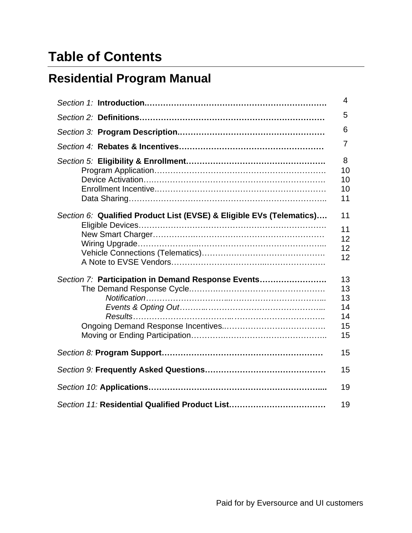# **Table of Contents**

# **Residential Program Manual**

|                                                                      | 4                                      |
|----------------------------------------------------------------------|----------------------------------------|
|                                                                      | 5                                      |
|                                                                      | 6                                      |
|                                                                      | 7                                      |
|                                                                      | 8<br>10<br>10<br>10<br>11              |
| Section 6: Qualified Product List (EVSE) & Eligible EVs (Telematics) | 11<br>11<br>12<br>12<br>12             |
| Section 7: Participation in Demand Response Events                   | 13<br>13<br>13<br>14<br>14<br>15<br>15 |
|                                                                      | 15                                     |
|                                                                      | 15                                     |
|                                                                      | 19                                     |
|                                                                      | 19                                     |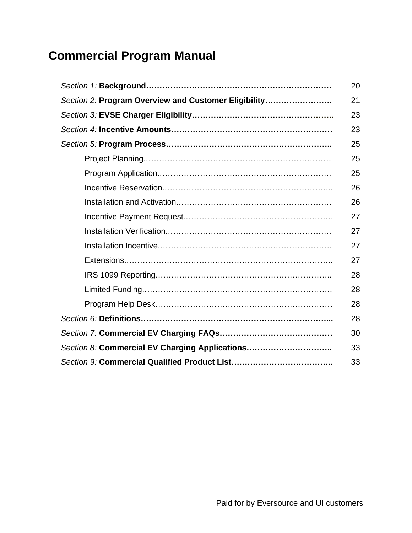# **Commercial Program Manual**

|                                                      | 20 |
|------------------------------------------------------|----|
| Section 2: Program Overview and Customer Eligibility | 21 |
|                                                      | 23 |
|                                                      | 23 |
|                                                      | 25 |
|                                                      | 25 |
|                                                      | 25 |
|                                                      | 26 |
|                                                      | 26 |
|                                                      | 27 |
|                                                      | 27 |
|                                                      | 27 |
|                                                      | 27 |
|                                                      | 28 |
|                                                      | 28 |
|                                                      | 28 |
|                                                      | 28 |
|                                                      | 30 |
| Section 8: Commercial EV Charging Applications       | 33 |
|                                                      | 33 |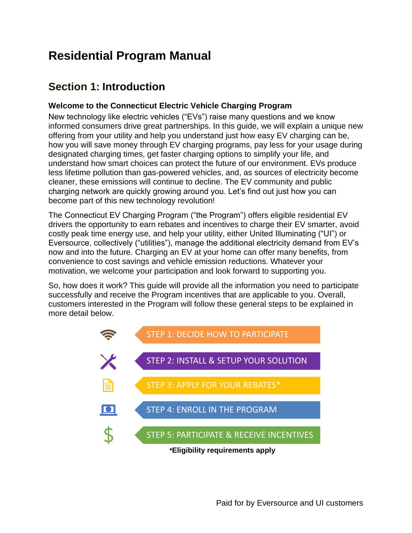# **Residential Program Manual**

### **Section 1: Introduction**

### **Welcome to the Connecticut Electric Vehicle Charging Program**

New technology like electric vehicles ("EVs") raise many questions and we know informed consumers drive great partnerships. In this guide, we will explain a unique new offering from your utility and help you understand just how easy EV charging can be, how you will save money through EV charging programs, pay less for your usage during designated charging times, get faster charging options to simplify your life, and understand how smart choices can protect the future of our environment. EVs produce less lifetime pollution than gas-powered vehicles, and, as sources of electricity become cleaner, these emissions will continue to decline. The EV community and public charging network are quickly growing around you. Let's find out just how you can become part of this new technology revolution!

The Connecticut EV Charging Program ("the Program") offers eligible residential EV drivers the opportunity to earn rebates and incentives to charge their EV smarter, avoid costly peak time energy use, and help your utility, either United Illuminating ("UI") or Eversource, collectively ("utilities"), manage the additional electricity demand from EV's now and into the future. Charging an EV at your home can offer many benefits, from convenience to cost savings and vehicle emission reductions. Whatever your motivation, we welcome your participation and look forward to supporting you.

So, how does it work? This guide will provide all the information you need to participate successfully and receive the Program incentives that are applicable to you. Overall, customers interested in the Program will follow these general steps to be explained in more detail below.

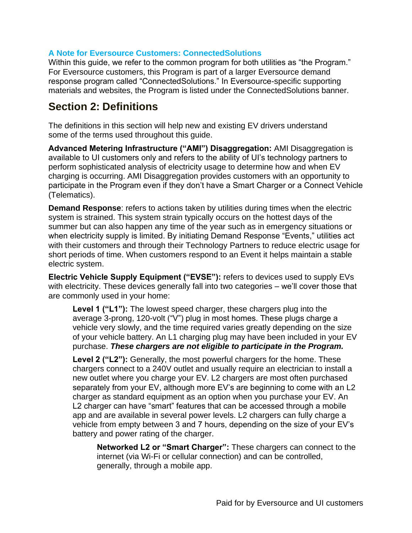### **A Note for Eversource Customers: ConnectedSolutions**

Within this guide, we refer to the common program for both utilities as "the Program." For Eversource customers, this Program is part of a larger Eversource demand response program called "ConnectedSolutions." In Eversource-specific supporting materials and websites, the Program is listed under the ConnectedSolutions banner.

### **Section 2: Definitions**

The definitions in this section will help new and existing EV drivers understand some of the terms used throughout this guide.

**Advanced Metering Infrastructure ("AMI") Disaggregation:** AMI Disaggregation is available to UI customers only and refers to the ability of UI's technology partners to perform sophisticated analysis of electricity usage to determine how and when EV charging is occurring. AMI Disaggregation provides customers with an opportunity to participate in the Program even if they don't have a Smart Charger or a Connect Vehicle (Telematics).

**Demand Response**: refers to actions taken by utilities during times when the electric system is strained. This system strain typically occurs on the hottest days of the summer but can also happen any time of the year such as in emergency situations or when electricity supply is limited. By initiating Demand Response "Events," utilities act with their customers and through their Technology Partners to reduce electric usage for short periods of time. When customers respond to an Event it helps maintain a stable electric system.

**Electric Vehicle Supply Equipment ("EVSE"):** refers to devices used to supply EVs with electricity. These devices generally fall into two categories – we'll cover those that are commonly used in your home:

**Level 1 ("L1"):** The lowest speed charger, these chargers plug into the average 3-prong, 120-volt ("V") plug in most homes. These plugs charge a vehicle very slowly, and the time required varies greatly depending on the size of your vehicle battery. An L1 charging plug may have been included in your EV purchase. *These chargers are not eligible to participate in the Program.*

**Level 2 ("L2"):** Generally, the most powerful chargers for the home. These chargers connect to a 240V outlet and usually require an electrician to install a new outlet where you charge your EV. L2 chargers are most often purchased separately from your EV, although more EV's are beginning to come with an L2 charger as standard equipment as an option when you purchase your EV. An L2 charger can have "smart" features that can be accessed through a mobile app and are available in several power levels. L2 chargers can fully charge a vehicle from empty between 3 and 7 hours, depending on the size of your EV's battery and power rating of the charger.

**Networked L2 or "Smart Charger":** These chargers can connect to the internet (via Wi-Fi or cellular connection) and can be controlled, generally, through a mobile app.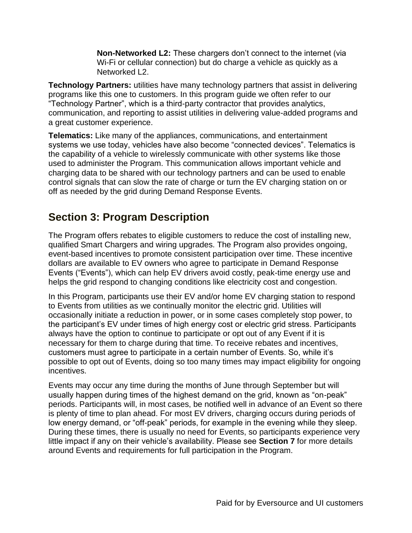**Non-Networked L2:** These chargers don't connect to the internet (via Wi-Fi or cellular connection) but do charge a vehicle as quickly as a Networked L2.

**Technology Partners:** utilities have many technology partners that assist in delivering programs like this one to customers. In this program guide we often refer to our "Technology Partner", which is a third-party contractor that provides analytics, communication, and reporting to assist utilities in delivering value-added programs and a great customer experience.

**Telematics:** Like many of the appliances, communications, and entertainment systems we use today, vehicles have also become "connected devices". Telematics is the capability of a vehicle to wirelessly communicate with other systems like those used to administer the Program. This communication allows important vehicle and charging data to be shared with our technology partners and can be used to enable control signals that can slow the rate of charge or turn the EV charging station on or off as needed by the grid during Demand Response Events.

### **Section 3: Program Description**

The Program offers rebates to eligible customers to reduce the cost of installing new, qualified Smart Chargers and wiring upgrades. The Program also provides ongoing, event-based incentives to promote consistent participation over time. These incentive dollars are available to EV owners who agree to participate in Demand Response Events ("Events"), which can help EV drivers avoid costly, peak-time energy use and helps the grid respond to changing conditions like electricity cost and congestion.

In this Program, participants use their EV and/or home EV charging station to respond to Events from utilities as we continually monitor the electric grid. Utilities will occasionally initiate a reduction in power, or in some cases completely stop power, to the participant's EV under times of high energy cost or electric grid stress. Participants always have the option to continue to participate or opt out of any Event if it is necessary for them to charge during that time. To receive rebates and incentives, customers must agree to participate in a certain number of Events. So, while it's possible to opt out of Events, doing so too many times may impact eligibility for ongoing incentives.

Events may occur any time during the months of June through September but will usually happen during times of the highest demand on the grid, known as "on-peak" periods. Participants will, in most cases, be notified well in advance of an Event so there is plenty of time to plan ahead. For most EV drivers, charging occurs during periods of low energy demand, or "off-peak" periods, for example in the evening while they sleep. During these times, there is usually no need for Events, so participants experience very little impact if any on their vehicle's availability. Please see **Section 7** for more details around Events and requirements for full participation in the Program.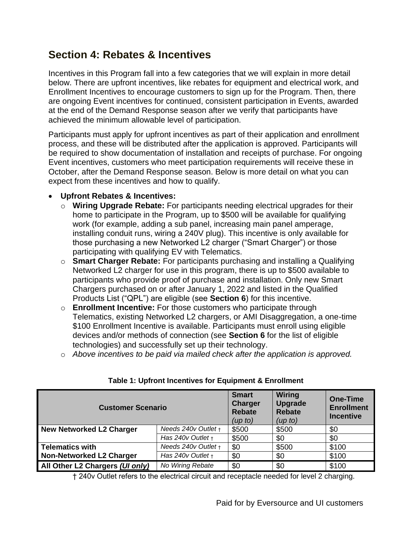### **Section 4: Rebates & Incentives**

Incentives in this Program fall into a few categories that we will explain in more detail below. There are upfront incentives, like rebates for equipment and electrical work, and Enrollment Incentives to encourage customers to sign up for the Program. Then, there are ongoing Event incentives for continued, consistent participation in Events, awarded at the end of the Demand Response season after we verify that participants have achieved the minimum allowable level of participation.

Participants must apply for upfront incentives as part of their application and enrollment process, and these will be distributed after the application is approved. Participants will be required to show documentation of installation and receipts of purchase. For ongoing Event incentives, customers who meet participation requirements will receive these in October, after the Demand Response season. Below is more detail on what you can expect from these incentives and how to qualify.

### • **Upfront Rebates & Incentives:**

- o **Wiring Upgrade Rebate:** For participants needing electrical upgrades for their home to participate in the Program, up to \$500 will be available for qualifying work (for example, adding a sub panel, increasing main panel amperage, installing conduit runs, wiring a 240V plug). This incentive is only available for those purchasing a new Networked L2 charger ("Smart Charger") or those participating with qualifying EV with Telematics.
- o **Smart Charger Rebate:** For participants purchasing and installing a Qualifying Networked L2 charger for use in this program, there is up to \$500 available to participants who provide proof of purchase and installation. Only new Smart Chargers purchased on or after January 1, 2022 and listed in the Qualified Products List ("QPL") are eligible (see **Section 6**) for this incentive.
- o **Enrollment Incentive:** For those customers who participate through Telematics, existing Networked L2 chargers, or AMI Disaggregation, a one-time \$100 Enrollment Incentive is available. Participants must enroll using eligible devices and/or methods of connection (see **Section 6** for the list of eligible technologies) and successfully set up their technology.
- o *Above incentives to be paid via mailed check after the application is approved.*

| <b>Customer Scenario</b>        | <b>Smart</b><br><b>Charger</b><br><b>Rebate</b><br>(up to) | Wiring<br>Upgrade<br><b>Rebate</b><br>(up to) | <b>One-Time</b><br><b>Enrollment</b><br><b>Incentive</b> |       |
|---------------------------------|------------------------------------------------------------|-----------------------------------------------|----------------------------------------------------------|-------|
| New Networked L2 Charger        | Needs $240v$ Outlet $t$                                    | \$500                                         | \$500                                                    | \$0   |
|                                 | Has $240v$ Outlet $t +$                                    | \$500                                         | \$0                                                      | \$0   |
| Telematics with                 | Needs $240v$ Outlet $t +$                                  | \$0                                           | \$500                                                    | \$100 |
| Non-Networked L2 Charger        | Has $240v$ Outlet $t +$                                    | \$0                                           | \$0                                                      | \$100 |
| All Other L2 Chargers (Ul only) | No Wiring Rebate                                           | \$0                                           | \$0                                                      | \$100 |

### **Table 1: Upfront Incentives for Equipment & Enrollment**

† 240v Outlet refers to the electrical circuit and receptacle needed for level 2 charging.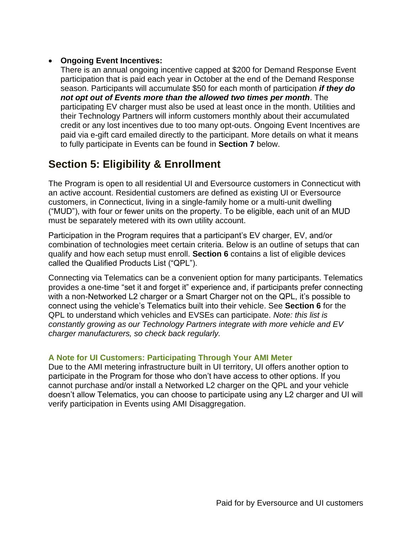### • **Ongoing Event Incentives:**

There is an annual ongoing incentive capped at \$200 for Demand Response Event participation that is paid each year in October at the end of the Demand Response season. Participants will accumulate \$50 for each month of participation *if they do not opt out of Events more than the allowed two times per month*. The participating EV charger must also be used at least once in the month. Utilities and their Technology Partners will inform customers monthly about their accumulated credit or any lost incentives due to too many opt-outs. Ongoing Event Incentives are paid via e-gift card emailed directly to the participant. More details on what it means to fully participate in Events can be found in **Section 7** below.

### **Section 5: Eligibility & Enrollment**

The Program is open to all residential UI and Eversource customers in Connecticut with an active account. Residential customers are defined as existing UI or Eversource customers, in Connecticut, living in a single-family home or a multi-unit dwelling ("MUD"), with four or fewer units on the property. To be eligible, each unit of an MUD must be separately metered with its own utility account.

Participation in the Program requires that a participant's EV charger, EV, and/or combination of technologies meet certain criteria. Below is an outline of setups that can qualify and how each setup must enroll. **Section 6** contains a list of eligible devices called the Qualified Products List ("QPL").

Connecting via Telematics can be a convenient option for many participants. Telematics provides a one-time "set it and forget it" experience and, if participants prefer connecting with a non-Networked L2 charger or a Smart Charger not on the QPL, it's possible to connect using the vehicle's Telematics built into their vehicle. See **Section 6** for the QPL to understand which vehicles and EVSEs can participate. *Note: this list is constantly growing as our Technology Partners integrate with more vehicle and EV charger manufacturers, so check back regularly.*

### **A Note for UI Customers: Participating Through Your AMI Meter**

Due to the AMI metering infrastructure built in UI territory, UI offers another option to participate in the Program for those who don't have access to other options. If you cannot purchase and/or install a Networked L2 charger on the QPL and your vehicle doesn't allow Telematics, you can choose to participate using any L2 charger and UI will verify participation in Events using AMI Disaggregation.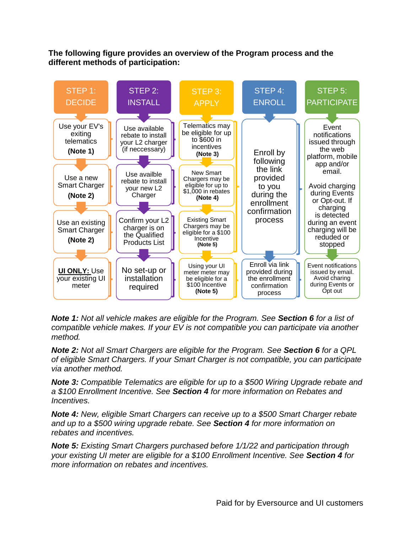### **The following figure provides an overview of the Program process and the different methods of participation:**



*Note 1: Not all vehicle makes are eligible for the Program. See Section 6 for a list of compatible vehicle makes. If your EV is not compatible you can participate via another method.*

*Note 2: Not all Smart Chargers are eligible for the Program. See Section 6 for a QPL of eligible Smart Chargers. If your Smart Charger is not compatible, you can participate via another method.*

*Note 3: Compatible Telematics are eligible for up to a \$500 Wiring Upgrade rebate and a \$100 Enrollment Incentive. See Section 4 for more information on Rebates and Incentives.*

*Note 4: New, eligible Smart Chargers can receive up to a \$500 Smart Charger rebate and up to a \$500 wiring upgrade rebate. See Section 4 for more information on rebates and incentives.*

*Note 5: Existing Smart Chargers purchased before 1/1/22 and participation through your existing UI meter are eligible for a \$100 Enrollment Incentive. See Section 4 for more information on rebates and incentives.*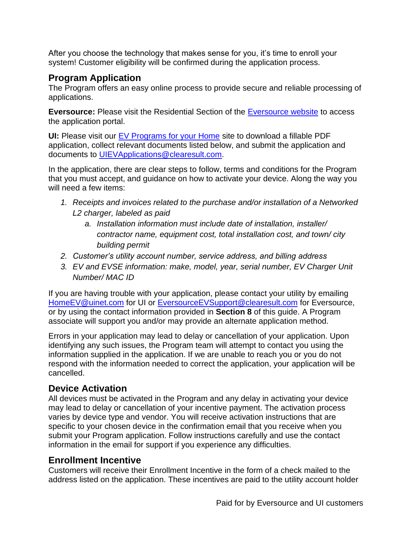After you choose the technology that makes sense for you, it's time to enroll your system! Customer eligibility will be confirmed during the application process.

### **Program Application**

The Program offers an easy online process to provide secure and reliable processing of applications.

**Eversource:** Please visit the Residential Section of the [Eversource website](https://www.eversource.com/content/ct-c/residential/save-money-energy/clean-energy-options/electric-vehicles/charging-station-rebates) to access the application portal.

**UI:** Please visit our [EV Programs for your Home](https://www.uinet.com/wps/portal/uinet/smartenergy/electric_vehicles/evprogramsforhome/!ut/p/z1/vZPJbsIwEIafpYccI5ssEI4BBUKbhS3rJTLBSYzIgnHT9u3rSLRUQiVVVdU3j2Z-fzPzG8QgBHGFWpIjRuoKHfk9ioeJPLANU5lCR1soKly5G9t5srYStCQQ3E0YyiD-ST385uiwr94HMYjTijWsANEzqTBDOU2uPQiwwGiPqQDPJaIMV5jmbwLER5wyStKkxQVJj_jMQ21D65yi8pzVtKhL3Ck3KdmDKFPHGcK7TEyHA1lUMjgSdwpWRS3DqqzAMdSg1GUHUzuZW-5Et5Kp62yNcAsiAXoLx9jq83XifKEyL1Sbjsq4UBkfVP4nleEvL1SzmpodVdC3kvj-QIOOtGdnfRoRZxhdFaC_GHAFe6asJq6kWSMQtAS_AK-qacldtPndKFeeseYv_ctUTQge-7zGP4NE7amd82YQK0RSZTUIb6zEQzdW4qXkcDrFOjdrXTH8ykD4x25tSs8rNbkUQ3hQ81J7FefB0tIf3gGwA6gY/dz/d5/L2dBISEvZ0FBIS9nQSEh/?WCM_GLOBAL_CONTEXT=%2FUINETAGR_Navigation%2FHeader%2FSmartEnergy%2FElectric_Vehicles%2FEVProgramsForHome) site to download a fillable PDF application, collect relevant documents listed below, and submit the application and documents to [UIEVApplications@clearesult.com.](mailto:UIEVApplications@clearesult.com)

In the application, there are clear steps to follow, terms and conditions for the Program that you must accept, and guidance on how to activate your device. Along the way you will need a few items:

- *1. Receipts and invoices related to the purchase and/or installation of a Networked L2 charger, labeled as paid*
	- *a. Installation information must include date of installation, installer/ contractor name, equipment cost, total installation cost, and town/ city building permit*
- *2. Customer's utility account number, service address, and billing address*
- *3. EV and EVSE information: make, model, year, serial number, EV Charger Unit Number/ MAC ID*

If you are having trouble with your application, please contact your utility by emailing [HomeEV@uinet.com](mailto:HomeEV@uinet.com) for UI or EversourceEVSupport@clearesult.com for Eversource, or by using the contact information provided in **Section 8** of this guide. A Program associate will support you and/or may provide an alternate application method.

Errors in your application may lead to delay or cancellation of your application. Upon identifying any such issues, the Program team will attempt to contact you using the information supplied in the application. If we are unable to reach you or you do not respond with the information needed to correct the application, your application will be cancelled.

### **Device Activation**

All devices must be activated in the Program and any delay in activating your device may lead to delay or cancellation of your incentive payment. The activation process varies by device type and vendor. You will receive activation instructions that are specific to your chosen device in the confirmation email that you receive when you submit your Program application. Follow instructions carefully and use the contact information in the email for support if you experience any difficulties.

### **Enrollment Incentive**

Customers will receive their Enrollment Incentive in the form of a check mailed to the address listed on the application. These incentives are paid to the utility account holder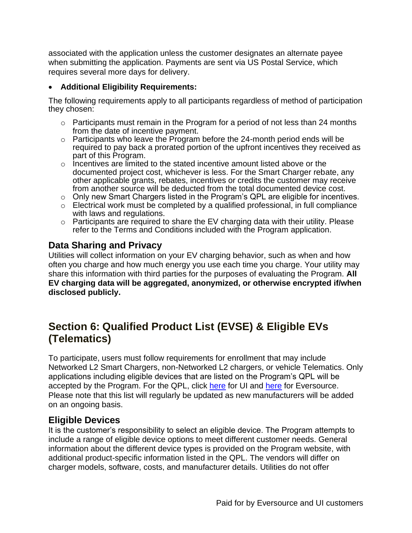associated with the application unless the customer designates an alternate payee when submitting the application. Payments are sent via US Postal Service, which requires several more days for delivery.

### • **Additional Eligibility Requirements:**

The following requirements apply to all participants regardless of method of participation they chosen:

- $\circ$  Participants must remain in the Program for a period of not less than 24 months from the date of incentive payment.
- $\circ$  Participants who leave the Program before the 24-month period ends will be required to pay back a prorated portion of the upfront incentives they received as part of this Program.
- $\circ$  Incentives are limited to the stated incentive amount listed above or the documented project cost, whichever is less. For the Smart Charger rebate, any other applicable grants, rebates, incentives or credits the customer may receive from another source will be deducted from the total documented device cost.
- $\circ$  Only new Smart Chargers listed in the Program's QPL are eligible for incentives.
- $\circ$  Electrical work must be completed by a qualified professional, in full compliance with laws and regulations.
- $\circ$  Participants are required to share the EV charging data with their utility. Please refer to the Terms and Conditions included with the Program application.

### **Data Sharing and Privacy**

Utilities will collect information on your EV charging behavior, such as when and how often you charge and how much energy you use each time you charge. Your utility may share this information with third parties for the purposes of evaluating the Program. **All EV charging data will be aggregated, anonymized, or otherwise encrypted if/when disclosed publicly.**

### **Section 6: Qualified Product List (EVSE) & Eligible EVs (Telematics)**

To participate, users must follow requirements for enrollment that may include Networked L2 Smart Chargers, non-Networked L2 chargers, or vehicle Telematics. Only applications including eligible devices that are listed on the Program's QPL will be accepted by the Program. For the QPL, click [here](https://www.eversource.com/content/ct-c/residential/save-money-energy/clean-energy-options/electric-vehicles/charging-station-rebates) for UI and here for Eversource. Please note that this list will regularly be updated as new manufacturers will be added on an ongoing basis.

### **Eligible Devices**

It is the customer's responsibility to select an eligible device. The Program attempts to include a range of eligible device options to meet different customer needs. General information about the different device types is provided on the Program website, with additional product-specific information listed in the QPL. The vendors will differ on charger models, software, costs, and manufacturer details. Utilities do not offer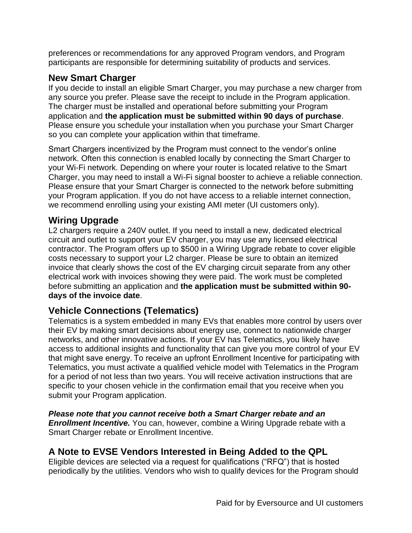preferences or recommendations for any approved Program vendors, and Program participants are responsible for determining suitability of products and services.

### **New Smart Charger**

If you decide to install an eligible Smart Charger, you may purchase a new charger from any source you prefer. Please save the receipt to include in the Program application. The charger must be installed and operational before submitting your Program application and **the application must be submitted within 90 days of purchase**. Please ensure you schedule your installation when you purchase your Smart Charger so you can complete your application within that timeframe.

Smart Chargers incentivized by the Program must connect to the vendor's online network. Often this connection is enabled locally by connecting the Smart Charger to your Wi-Fi network. Depending on where your router is located relative to the Smart Charger, you may need to install a Wi-Fi signal booster to achieve a reliable connection. Please ensure that your Smart Charger is connected to the network before submitting your Program application. If you do not have access to a reliable internet connection, we recommend enrolling using your existing AMI meter (UI customers only).

### **Wiring Upgrade**

L2 chargers require a 240V outlet. If you need to install a new, dedicated electrical circuit and outlet to support your EV charger, you may use any licensed electrical contractor. The Program offers up to \$500 in a Wiring Upgrade rebate to cover eligible costs necessary to support your L2 charger. Please be sure to obtain an itemized invoice that clearly shows the cost of the EV charging circuit separate from any other electrical work with invoices showing they were paid. The work must be completed before submitting an application and **the application must be submitted within 90 days of the invoice date**.

### **Vehicle Connections (Telematics)**

Telematics is a system embedded in many EVs that enables more control by users over their EV by making smart decisions about energy use, connect to nationwide charger networks, and other innovative actions. If your EV has Telematics, you likely have access to additional insights and functionality that can give you more control of your EV that might save energy. To receive an upfront Enrollment Incentive for participating with Telematics, you must activate a qualified vehicle model with Telematics in the Program for a period of not less than two years. You will receive activation instructions that are specific to your chosen vehicle in the confirmation email that you receive when you submit your Program application.

*Please note that you cannot receive both a Smart Charger rebate and an Enrollment Incentive.* You can, however, combine a Wiring Upgrade rebate with a Smart Charger rebate or Enrollment Incentive.

### **A Note to EVSE Vendors Interested in Being Added to the QPL**

Eligible devices are selected via a request for qualifications ("RFQ") that is hosted periodically by the utilities. Vendors who wish to qualify devices for the Program should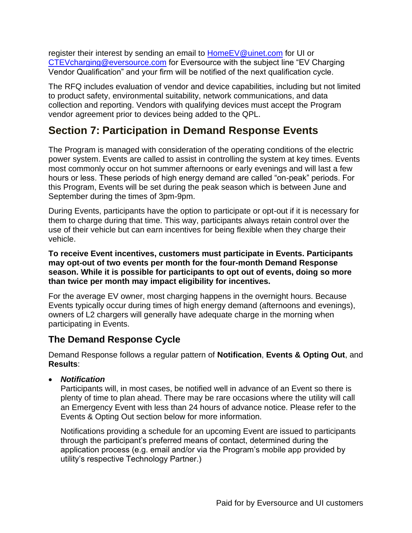register their interest by sending an email to [HomeEV@uinet.com](mailto:HomeEV@uinet.com) for UI or [CTEVcharging@eversource.com](mailto:CTEVcharging@eversource.com) for Eversource with the subject line "EV Charging Vendor Qualification" and your firm will be notified of the next qualification cycle.

The RFQ includes evaluation of vendor and device capabilities, including but not limited to product safety, environmental suitability, network communications, and data collection and reporting. Vendors with qualifying devices must accept the Program vendor agreement prior to devices being added to the QPL.

### **Section 7: Participation in Demand Response Events**

The Program is managed with consideration of the operating conditions of the electric power system. Events are called to assist in controlling the system at key times. Events most commonly occur on hot summer afternoons or early evenings and will last a few hours or less. These periods of high energy demand are called "on-peak" periods. For this Program, Events will be set during the peak season which is between June and September during the times of 3pm-9pm.

During Events, participants have the option to participate or opt-out if it is necessary for them to charge during that time. This way, participants always retain control over the use of their vehicle but can earn incentives for being flexible when they charge their vehicle.

**To receive Event incentives, customers must participate in Events. Participants may opt-out of two events per month for the four-month Demand Response season. While it is possible for participants to opt out of events, doing so more than twice per month may impact eligibility for incentives.**

For the average EV owner, most charging happens in the overnight hours. Because Events typically occur during times of high energy demand (afternoons and evenings), owners of L2 chargers will generally have adequate charge in the morning when participating in Events.

### **The Demand Response Cycle**

Demand Response follows a regular pattern of **Notification**, **Events & Opting Out**, and **Results**:

• *Notification*

Participants will, in most cases, be notified well in advance of an Event so there is plenty of time to plan ahead. There may be rare occasions where the utility will call an Emergency Event with less than 24 hours of advance notice. Please refer to the Events & Opting Out section below for more information.

Notifications providing a schedule for an upcoming Event are issued to participants through the participant's preferred means of contact, determined during the application process (e.g. email and/or via the Program's mobile app provided by utility's respective Technology Partner.)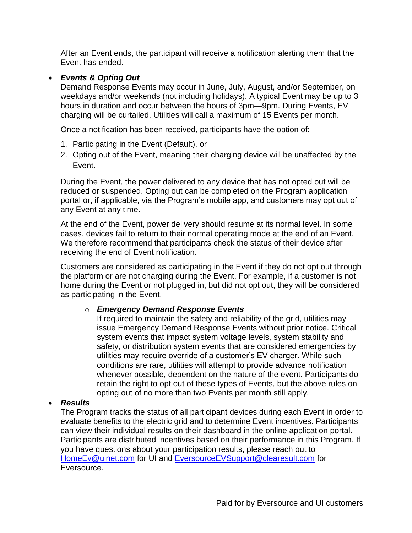After an Event ends, the participant will receive a notification alerting them that the Event has ended.

### • *Events & Opting Out*

Demand Response Events may occur in June, July, August, and/or September, on weekdays and/or weekends (not including holidays). A typical Event may be up to 3 hours in duration and occur between the hours of 3pm—9pm. During Events, EV charging will be curtailed. Utilities will call a maximum of 15 Events per month.

Once a notification has been received, participants have the option of:

- 1. Participating in the Event (Default), or
- 2. Opting out of the Event, meaning their charging device will be unaffected by the Event.

During the Event, the power delivered to any device that has not opted out will be reduced or suspended. Opting out can be completed on the Program application portal or, if applicable, via the Program's mobile app, and customers may opt out of any Event at any time.

At the end of the Event, power delivery should resume at its normal level. In some cases, devices fail to return to their normal operating mode at the end of an Event. We therefore recommend that participants check the status of their device after receiving the end of Event notification.

Customers are considered as participating in the Event if they do not opt out through the platform or are not charging during the Event. For example, if a customer is not home during the Event or not plugged in, but did not opt out, they will be considered as participating in the Event.

### o *Emergency Demand Response Events*

If required to maintain the safety and reliability of the grid, utilities may issue Emergency Demand Response Events without prior notice. Critical system events that impact system voltage levels, system stability and safety, or distribution system events that are considered emergencies by utilities may require override of a customer's EV charger. While such conditions are rare, utilities will attempt to provide advance notification whenever possible, dependent on the nature of the event. Participants do retain the right to opt out of these types of Events, but the above rules on opting out of no more than two Events per month still apply.

### • *Results*

The Program tracks the status of all participant devices during each Event in order to evaluate benefits to the electric grid and to determine Event incentives. Participants can view their individual results on their dashboard in the online application portal. Participants are distributed incentives based on their performance in this Program. If you have questions about your participation results, please reach out to [HomeEv@uinet.com](mailto:HomeEv@uinet.com) for UI and [EversourceEVSupport@clearesult.com](mailto:EversourceEVSupport@clearesult.com) for Eversource.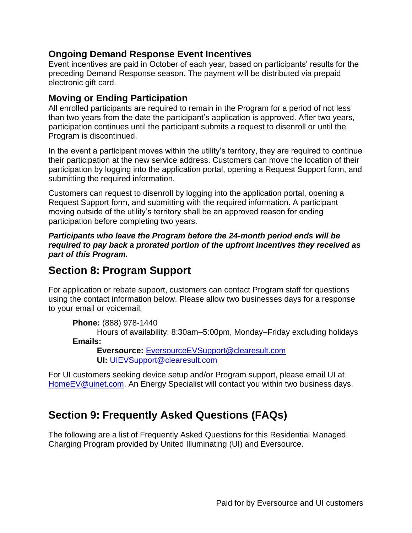### **Ongoing Demand Response Event Incentives**

Event incentives are paid in October of each year, based on participants' results for the preceding Demand Response season. The payment will be distributed via prepaid electronic gift card.

### **Moving or Ending Participation**

All enrolled participants are required to remain in the Program for a period of not less than two years from the date the participant's application is approved. After two years, participation continues until the participant submits a request to disenroll or until the Program is discontinued.

In the event a participant moves within the utility's territory, they are required to continue their participation at the new service address. Customers can move the location of their participation by logging into the application portal, opening a Request Support form, and submitting the required information.

Customers can request to disenroll by logging into the application portal, opening a Request Support form, and submitting with the required information. A participant moving outside of the utility's territory shall be an approved reason for ending participation before completing two years.

*Participants who leave the Program before the 24-month period ends will be required to pay back a prorated portion of the upfront incentives they received as part of this Program.*

### **Section 8: Program Support**

For application or rebate support, customers can contact Program staff for questions using the contact information below. Please allow two businesses days for a response to your email or voicemail.

**Phone:** (888) 978-1440

Hours of availability: 8:30am–5:00pm, Monday–Friday excluding holidays **Emails:**

**Eversource:** [EversourceEVSupport@clearesult.com](mailto:EversourceEVSupport@clearesult.com) **UI:** [UIEVSupport@clearesult.com](mailto:UIEVSupport@clearesult.com)

For UI customers seeking device setup and/or Program support, please email UI at [HomeEV@uinet.com.](mailto:HomeEV@uinet.com) An Energy Specialist will contact you within two business days.

### **Section 9: Frequently Asked Questions (FAQs)**

The following are a list of Frequently Asked Questions for this Residential Managed Charging Program provided by United Illuminating (UI) and Eversource.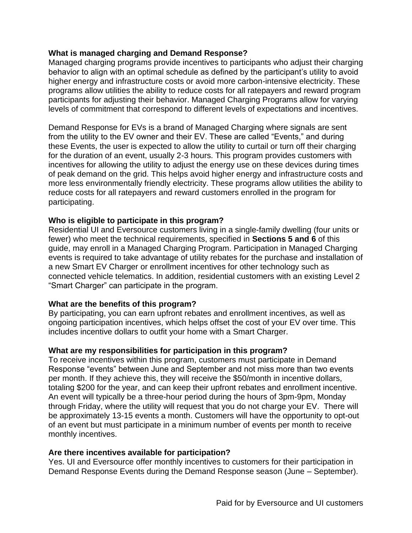#### **What is managed charging and Demand Response?**

Managed charging programs provide incentives to participants who adjust their charging behavior to align with an optimal schedule as defined by the participant's utility to avoid higher energy and infrastructure costs or avoid more carbon-intensive electricity. These programs allow utilities the ability to reduce costs for all ratepayers and reward program participants for adjusting their behavior. Managed Charging Programs allow for varying levels of commitment that correspond to different levels of expectations and incentives.

Demand Response for EVs is a brand of Managed Charging where signals are sent from the utility to the EV owner and their EV. These are called "Events," and during these Events, the user is expected to allow the utility to curtail or turn off their charging for the duration of an event, usually 2-3 hours. This program provides customers with incentives for allowing the utility to adjust the energy use on these devices during times of peak demand on the grid. This helps avoid higher energy and infrastructure costs and more less environmentally friendly electricity. These programs allow utilities the ability to reduce costs for all ratepayers and reward customers enrolled in the program for participating.

#### **Who is eligible to participate in this program?**

Residential UI and Eversource customers living in a single-family dwelling (four units or fewer) who meet the technical requirements, specified in **Sections 5 and 6** of this guide, may enroll in a Managed Charging Program. Participation in Managed Charging events is required to take advantage of utility rebates for the purchase and installation of a new Smart EV Charger or enrollment incentives for other technology such as connected vehicle telematics. In addition, residential customers with an existing Level 2 "Smart Charger" can participate in the program.

### **What are the benefits of this program?**

By participating, you can earn upfront rebates and enrollment incentives, as well as ongoing participation incentives, which helps offset the cost of your EV over time. This includes incentive dollars to outfit your home with a Smart Charger.

### **What are my responsibilities for participation in this program?**

To receive incentives within this program, customers must participate in Demand Response "events" between June and September and not miss more than two events per month. If they achieve this, they will receive the \$50/month in incentive dollars, totaling \$200 for the year, and can keep their upfront rebates and enrollment incentive. An event will typically be a three-hour period during the hours of 3pm-9pm, Monday through Friday, where the utility will request that you do not charge your EV. There will be approximately 13-15 events a month. Customers will have the opportunity to opt-out of an event but must participate in a minimum number of events per month to receive monthly incentives.

### **Are there incentives available for participation?**

Yes. UI and Eversource offer monthly incentives to customers for their participation in Demand Response Events during the Demand Response season (June – September).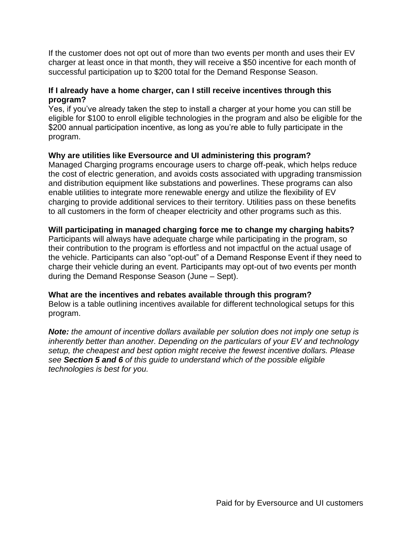If the customer does not opt out of more than two events per month and uses their EV charger at least once in that month, they will receive a \$50 incentive for each month of successful participation up to \$200 total for the Demand Response Season.

### **If I already have a home charger, can I still receive incentives through this program?**

Yes, if you've already taken the step to install a charger at your home you can still be eligible for \$100 to enroll eligible technologies in the program and also be eligible for the \$200 annual participation incentive, as long as you're able to fully participate in the program.

### **Why are utilities like Eversource and UI administering this program?**

Managed Charging programs encourage users to charge off-peak, which helps reduce the cost of electric generation, and avoids costs associated with upgrading transmission and distribution equipment like substations and powerlines. These programs can also enable utilities to integrate more renewable energy and utilize the flexibility of EV charging to provide additional services to their territory. Utilities pass on these benefits to all customers in the form of cheaper electricity and other programs such as this.

### **Will participating in managed charging force me to change my charging habits?**

Participants will always have adequate charge while participating in the program, so their contribution to the program is effortless and not impactful on the actual usage of the vehicle. Participants can also "opt-out" of a Demand Response Event if they need to charge their vehicle during an event. Participants may opt-out of two events per month during the Demand Response Season (June – Sept).

### **What are the incentives and rebates available through this program?**

Below is a table outlining incentives available for different technological setups for this program.

*Note: the amount of incentive dollars available per solution does not imply one setup is inherently better than another. Depending on the particulars of your EV and technology setup, the cheapest and best option might receive the fewest incentive dollars. Please see Section 5 and 6 of this guide to understand which of the possible eligible technologies is best for you.*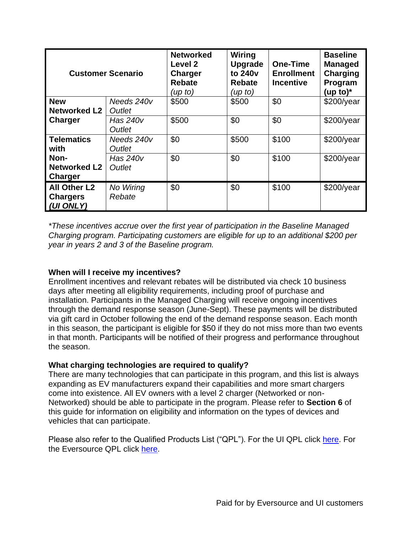| <b>Customer Scenario</b> |            | <b>Networked</b><br>Level 2<br><b>Charger</b><br><b>Rebate</b><br>(up to) | Wiring<br><b>Upgrade</b><br>to 240 <sub>v</sub><br><b>Rebate</b><br>(up to) | <b>One-Time</b><br><b>Enrollment</b><br><b>Incentive</b> | <b>Baseline</b><br><b>Managed</b><br>Charging<br>Program<br>(up to) $*$ |
|--------------------------|------------|---------------------------------------------------------------------------|-----------------------------------------------------------------------------|----------------------------------------------------------|-------------------------------------------------------------------------|
| <b>New</b>               | Needs 240v | \$500                                                                     | \$500                                                                       | \$0                                                      | $$200$ /year                                                            |
| <b>Networked L2</b>      | Outlet     |                                                                           |                                                                             |                                                          |                                                                         |
| <b>Charger</b>           | Has 240v   | \$500                                                                     | \$0                                                                         | \$0                                                      | $$200$ /year                                                            |
|                          | Outlet     |                                                                           |                                                                             |                                                          |                                                                         |
| <b>Telematics</b>        | Needs 240v | \$0                                                                       | \$500                                                                       | \$100                                                    | $$200$ /year                                                            |
| with                     | Outlet     |                                                                           |                                                                             |                                                          |                                                                         |
| Non-                     | Has 240v   | \$0                                                                       | \$0                                                                         | \$100                                                    | $$200$ /year                                                            |
| <b>Networked L2</b>      | Outlet     |                                                                           |                                                                             |                                                          |                                                                         |
| Charger                  |            |                                                                           |                                                                             |                                                          |                                                                         |
| <b>All Other L2</b>      | No Wiring  | \$0                                                                       | \$0                                                                         | \$100                                                    | $$200$ /year                                                            |
| <b>Chargers</b>          | Rebate     |                                                                           |                                                                             |                                                          |                                                                         |
| (UI ONLY)                |            |                                                                           |                                                                             |                                                          |                                                                         |

*\*These incentives accrue over the first year of participation in the Baseline Managed Charging program. Participating customers are eligible for up to an additional \$200 per year in years 2 and 3 of the Baseline program.* 

### **When will I receive my incentives?**

Enrollment incentives and relevant rebates will be distributed via check 10 business days after meeting all eligibility requirements, including proof of purchase and installation. Participants in the Managed Charging will receive ongoing incentives through the demand response season (June-Sept). These payments will be distributed via gift card in October following the end of the demand response season. Each month in this season, the participant is eligible for \$50 if they do not miss more than two events in that month. Participants will be notified of their progress and performance throughout the season.

### **What charging technologies are required to qualify?**

There are many technologies that can participate in this program, and this list is always expanding as EV manufacturers expand their capabilities and more smart chargers come into existence. All EV owners with a level 2 charger (Networked or non-Networked) should be able to participate in the program. Please refer to **Section 6** of this guide for information on eligibility and information on the types of devices and vehicles that can participate.

Please also refer to the Qualified Products List ("QPL"). For the UI QPL click [here.](https://www.uinet.com/wps/portal/uinet/smartenergy/electric_vehicles/evprogramsforhome/!ut/p/z1/vZPJbsIwEIafpYccI5ssEI4BBUKbhS3rJTLBSYzIgnHT9u3rSLRUQiVVVdU3j2Z-fzPzG8QgBHGFWpIjRuoKHfk9ioeJPLANU5lCR1soKly5G9t5srYStCQQ3E0YyiD-ST385uiwr94HMYjTijWsANEzqTBDOU2uPQiwwGiPqQDPJaIMV5jmbwLER5wyStKkxQVJj_jMQ21D65yi8pzVtKhL3Ck3KdmDKFPHGcK7TEyHA1lUMjgSdwpWRS3DqqzAMdSg1GUHUzuZW-5Et5Kp62yNcAsiAXoLx9jq83XifKEyL1Sbjsq4UBkfVP4nleEvL1SzmpodVdC3kvj-QIOOtGdnfRoRZxhdFaC_GHAFe6asJq6kWSMQtAS_AK-qacldtPndKFeeseYv_ctUTQge-7zGP4NE7amd82YQK0RSZTUIb6zEQzdW4qXkcDrFOjdrXTH8ykD4x25tSs8rNbkUQ3hQ81J7FefB0tIf3gGwA6gY/dz/d5/L2dBISEvZ0FBIS9nQSEh/?WCM_GLOBAL_CONTEXT=%2FUINETAGR_Navigation%2FHeader%2FSmartEnergy%2FElectric_Vehicles%2FEVProgramsForHome) For the Eversource QPL click [here.](https://www.eversource.com/content/ct-c/residential/save-money-energy/clean-energy-options/electric-vehicles/charging-station-rebates)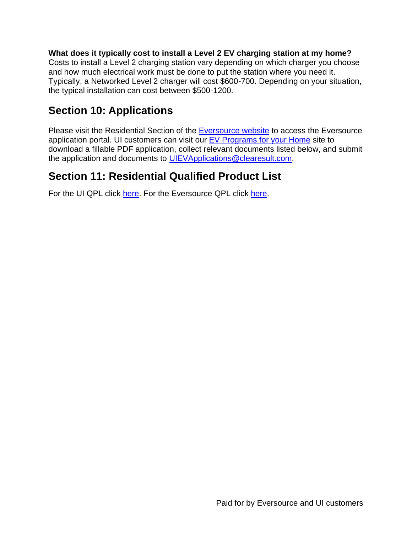**What does it typically cost to install a Level 2 EV charging station at my home?**  Costs to install a Level 2 charging station vary depending on which charger you choose and how much electrical work must be done to put the station where you need it. Typically, a Networked Level 2 charger will cost \$600-700. Depending on your situation, the typical installation can cost between \$500-1200.

### **Section 10: Applications**

Please visit the Residential Section of the [Eversource website](https://www.eversource.com/content/ct-c/residential/save-money-energy/clean-energy-options/electric-vehicles/charging-station-rebates) to access the Eversource application portal. UI customers can visit our [EV Programs for your Home](https://www.uinet.com/wps/portal/uinet/smartenergy/electric_vehicles/evprogramsforhome/!ut/p/z1/vZPJbsIwEIafpYccI5ssEI4BBUKbhS3rJTLBSYzIgnHT9u3rSLRUQiVVVdU3j2Z-fzPzG8QgBHGFWpIjRuoKHfk9ioeJPLANU5lCR1soKly5G9t5srYStCQQ3E0YyiD-ST385uiwr94HMYjTijWsANEzqTBDOU2uPQiwwGiPqQDPJaIMV5jmbwLER5wyStKkxQVJj_jMQ21D65yi8pzVtKhL3Ck3KdmDKFPHGcK7TEyHA1lUMjgSdwpWRS3DqqzAMdSg1GUHUzuZW-5Et5Kp62yNcAsiAXoLx9jq83XifKEyL1Sbjsq4UBkfVP4nleEvL1SzmpodVdC3kvj-QIOOtGdnfRoRZxhdFaC_GHAFe6asJq6kWSMQtAS_AK-qacldtPndKFeeseYv_ctUTQge-7zGP4NE7amd82YQK0RSZTUIb6zEQzdW4qXkcDrFOjdrXTH8ykD4x25tSs8rNbkUQ3hQ81J7FefB0tIf3gGwA6gY/dz/d5/L2dBISEvZ0FBIS9nQSEh/?WCM_GLOBAL_CONTEXT=%2FUINETAGR_Navigation%2FHeader%2FSmartEnergy%2FElectric_Vehicles%2FEVProgramsForHome) site to download a fillable PDF application, collect relevant documents listed below, and submit the application and documents to [UIEVApplications@clearesult.com.](mailto:UIEVApplications@clearesult.com)

### **Section 11: Residential Qualified Product List**

For the UI QPL click [here.](https://www.eversource.com/content/ct-c/residential/save-money-energy/clean-energy-options/electric-vehicles/charging-station-rebates) For the Eversource QPL click here.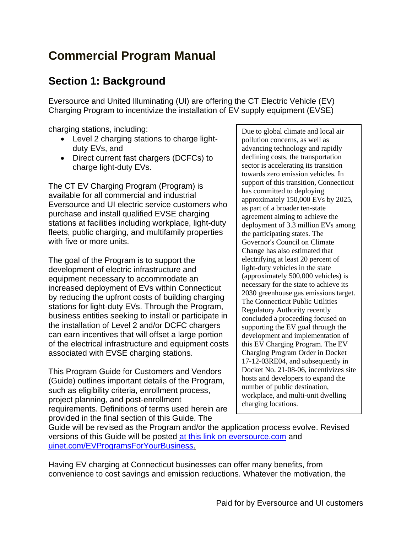# **Commercial Program Manual**

### **Section 1: Background**

Eversource and United Illuminating (UI) are offering the CT Electric Vehicle (EV) Charging Program to incentivize the installation of EV supply equipment (EVSE)

charging stations, including:

- Level 2 charging stations to charge lightduty EVs, and
- Direct current fast chargers (DCFCs) to charge light-duty EVs.

The CT EV Charging Program (Program) is available for all commercial and industrial Eversource and UI electric service customers who purchase and install qualified EVSE charging stations at facilities including workplace, light-duty fleets, public charging, and multifamily properties with five or more units.

The goal of the Program is to support the development of electric infrastructure and equipment necessary to accommodate an increased deployment of EVs within Connecticut by reducing the upfront costs of building charging stations for light-duty EVs. Through the Program, business entities seeking to install or participate in the installation of Level 2 and/or DCFC chargers can earn incentives that will offset a large portion of the electrical infrastructure and equipment costs associated with EVSE charging stations.

This Program Guide for Customers and Vendors (Guide) outlines important details of the Program, such as eligibility criteria, enrollment process, project planning, and post-enrollment requirements. Definitions of terms used herein are provided in the final section of this Guide. The

Due to global climate and local air pollution concerns, as well as advancing technology and rapidly declining costs, the transportation sector is accelerating its transition towards zero emission vehicles. In support of this transition, Connecticut has committed to deploying approximately 150,000 EVs by 2025, as part of a broader ten-state agreement aiming to achieve the deployment of 3.3 million EVs among the participating states. The Governor's Council on Climate Change has also estimated that electrifying at least 20 percent of light-duty vehicles in the state (approximately 500,000 vehicles) is necessary for the state to achieve its 2030 greenhouse gas emissions target. The Connecticut Public Utilities Regulatory Authority recently concluded a proceeding focused on supporting the EV goal through the development and implementation of this EV Charging Program. The EV Charging Program Order in Docket 17-12-03RE04, and subsequently in Docket No. 21-08-06, incentivizes site hosts and developers to expand the number of public destination, workplace, and multi-unit dwelling charging locations.

Guide will be revised as the Program and/or the application process evolve. Revised versions of this Guide will be posted [at this link on eversource.com](https://www.eversource.com/content/ct-c/business/save-money-energy/clean-energy-options/business-ev-charging) and [uinet.com/EVProgramsForYourBusiness.](https://www.uinet.com/wps/portal/uinet/smartenergy/electric_vehicles/evprogramsforbusiness/!ut/p/z1/vZPJbsIwEIafpQeOkZ0FEo4hCkubhC37JXKDkxiRBcdQ-vY1EpRKbUlVqfXNo5nf38z8BjEIQVyhI8kRI3WFdvwexYNEFm1zqhjQ0WZKHy7na9t5slwJWhII7iYMZBD_pB5-c3TYVe-DGMRpxRpWgOhAKsxQTpNbDz1YYLTBtAfbElGGK0zz1x7EO5wyStLkiAuS7nDLQ8eG1jlFZZvV9PnQcq22Pas3KdmAaKMgeZBhSejjVBQUDWbCMIV9IVOwMhQlVdmo4jk7MOxkYs1HupUYc8c1QxdEPejNHNPVJ6vE-UA2vZCtz2Tmhcy8kvnvZKa_uJCNazq6kgVdq4nvDzY403bsrksj4gzqTQH6M5Er2GNlOZpLmqWC4EjwC_CqmpbcTevfjXPpmSv-0r9NdgrBY5fv-MeQqG3YOW8IsUIgVVaD8JOteOhLW_Fyst3vY52bt64YPjEQ_oF7m9LzSk0uhRBu-3mpnYRJsLD0hzfBqwx3/dz/d5/L2dBISEvZ0FBIS9nQSEh/?WCM_GLOBAL_CONTEXT=%2FUINETAGR_Navigation%2FHeader%2FSmartEnergy%2FElectric_Vehicles%2FEVProgramsForBusiness)

Having EV charging at Connecticut businesses can offer many benefits, from convenience to cost savings and emission reductions. Whatever the motivation, the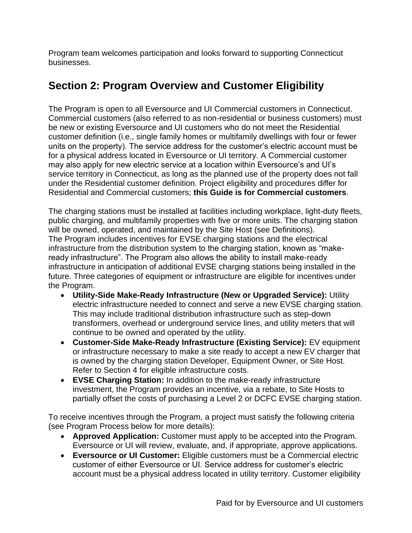Program team welcomes participation and looks forward to supporting Connecticut businesses.

### **Section 2: Program Overview and Customer Eligibility**

The Program is open to all Eversource and UI Commercial customers in Connecticut. Commercial customers (also referred to as non-residential or business customers) must be new or existing Eversource and UI customers who do not meet the Residential customer definition (i.e., single family homes or multifamily dwellings with four or fewer units on the property). The service address for the customer's electric account must be for a physical address located in Eversource or UI territory. A Commercial customer may also apply for new electric service at a location within Eversource's and UI's service territory in Connecticut, as long as the planned use of the property does not fall under the Residential customer definition. Project eligibility and procedures differ for Residential and Commercial customers; **this Guide is for Commercial customers**.

The charging stations must be installed at facilities including workplace, light-duty fleets, public charging, and multifamily properties with five or more units. The charging station will be owned, operated, and maintained by the Site Host (see Definitions). The Program includes incentives for EVSE charging stations and the electrical infrastructure from the distribution system to the charging station, known as "makeready infrastructure". The Program also allows the ability to install make-ready infrastructure in anticipation of additional EVSE charging stations being installed in the future. Three categories of equipment or infrastructure are eligible for incentives under the Program.

- **Utility-Side Make-Ready Infrastructure (New or Upgraded Service):** Utility electric infrastructure needed to connect and serve a new EVSE charging station. This may include traditional distribution infrastructure such as step-down transformers, overhead or underground service lines, and utility meters that will continue to be owned and operated by the utility.
- **Customer-Side Make-Ready Infrastructure (Existing Service):** EV equipment or infrastructure necessary to make a site ready to accept a new EV charger that is owned by the charging station Developer, Equipment Owner, or Site Host. Refer to Section 4 for eligible infrastructure costs.
- **EVSE Charging Station:** In addition to the make-ready infrastructure investment, the Program provides an incentive, via a rebate, to Site Hosts to partially offset the costs of purchasing a Level 2 or DCFC EVSE charging station.

To receive incentives through the Program, a project must satisfy the following criteria (see Program Process below for more details):

- **Approved Application:** Customer must apply to be accepted into the Program. Eversource or UI will review, evaluate, and, if appropriate, approve applications.
- **Eversource or UI Customer:** Eligible customers must be a Commercial electric customer of either Eversource or UI. Service address for customer's electric account must be a physical address located in utility territory. Customer eligibility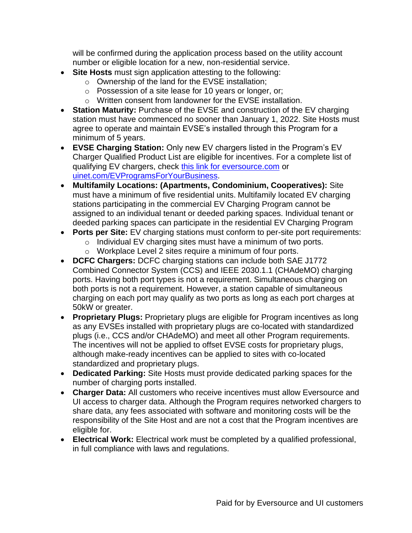will be confirmed during the application process based on the utility account number or eligible location for a new, non-residential service.

- **Site Hosts** must sign application attesting to the following:
	- o Ownership of the land for the EVSE installation;
	- o Possession of a site lease for 10 years or longer, or;
	- o Written consent from landowner for the EVSE installation.
- **Station Maturity:** Purchase of the EVSE and construction of the EV charging station must have commenced no sooner than January 1, 2022. Site Hosts must agree to operate and maintain EVSE's installed through this Program for a minimum of 5 years.
- **EVSE Charging Station:** Only new EV chargers listed in the Program's EV Charger Qualified Product List are eligible for incentives. For a complete list of qualifying EV chargers, check [this link for eversource.com](https://www.eversource.com/content/ct-c/business/save-money-energy/clean-energy-options/business-ev-charging) or [uinet.com/EVProgramsForYourBusiness.](https://www.uinet.com/wps/portal/uinet/smartenergy/electric_vehicles/evprogramsforbusiness/!ut/p/z1/vZPJbsIwEIafpQeOkZ0FEo4hCkubhC37JXKDkxiRBcdQ-vY1EpRKbUlVqfXNo5nf38z8BjEIQVyhI8kRI3WFdvwexYNEFm1zqhjQ0WZKHy7na9t5slwJWhII7iYMZBD_pB5-c3TYVe-DGMRpxRpWgOhAKsxQTpNbDz1YYLTBtAfbElGGK0zz1x7EO5wyStLkiAuS7nDLQ8eG1jlFZZvV9PnQcq22Pas3KdmAaKMgeZBhSejjVBQUDWbCMIV9IVOwMhQlVdmo4jk7MOxkYs1HupUYc8c1QxdEPejNHNPVJ6vE-UA2vZCtz2Tmhcy8kvnvZKa_uJCNazq6kgVdq4nvDzY403bsrksj4gzqTQH6M5Er2GNlOZpLmqWC4EjwC_CqmpbcTevfjXPpmSv-0r9NdgrBY5fv-MeQqG3YOW8IsUIgVVaD8JOteOhLW_Fyst3vY52bt64YPjEQ_oF7m9LzSk0uhRBu-3mpnYRJsLD0hzfBqwx3/dz/d5/L2dBISEvZ0FBIS9nQSEh/?WCM_GLOBAL_CONTEXT=%2FUINETAGR_Navigation%2FHeader%2FSmartEnergy%2FElectric_Vehicles%2FEVProgramsForBusiness)
- **Multifamily Locations: (Apartments, Condominium, Cooperatives):** Site must have a minimum of five residential units. Multifamily located EV charging stations participating in the commercial EV Charging Program cannot be assigned to an individual tenant or deeded parking spaces. Individual tenant or deeded parking spaces can participate in the residential EV Charging Program
- **Ports per Site:** EV charging stations must conform to per-site port requirements:
	- o Individual EV charging sites must have a minimum of two ports.
	- o Workplace Level 2 sites require a minimum of four ports.
- **DCFC Chargers:** DCFC charging stations can include both SAE J1772 Combined Connector System (CCS) and IEEE 2030.1.1 (CHAdeMO) charging ports. Having both port types is not a requirement. Simultaneous charging on both ports is not a requirement. However, a station capable of simultaneous charging on each port may qualify as two ports as long as each port charges at 50kW or greater.
- **Proprietary Plugs:** Proprietary plugs are eligible for Program incentives as long as any EVSEs installed with proprietary plugs are co-located with standardized plugs (i.e., CCS and/or CHAdeMO) and meet all other Program requirements. The incentives will not be applied to offset EVSE costs for proprietary plugs, although make-ready incentives can be applied to sites with co-located standardized and proprietary plugs.
- **Dedicated Parking:** Site Hosts must provide dedicated parking spaces for the number of charging ports installed.
- **Charger Data:** All customers who receive incentives must allow Eversource and UI access to charger data. Although the Program requires networked chargers to share data, any fees associated with software and monitoring costs will be the responsibility of the Site Host and are not a cost that the Program incentives are eligible for.
- **Electrical Work:** Electrical work must be completed by a qualified professional, in full compliance with laws and regulations.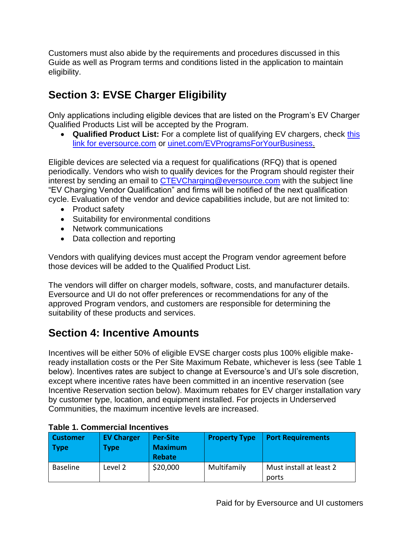Customers must also abide by the requirements and procedures discussed in this Guide as well as Program terms and conditions listed in the application to maintain eligibility.

### **Section 3: EVSE Charger Eligibility**

Only applications including eligible devices that are listed on the Program's EV Charger Qualified Products List will be accepted by the Program.

• **Qualified Product List:** For a complete list of qualifying EV chargers, check [this](https://www.eversource.com/content/ct-c/business/save-money-energy/clean-energy-options/business-ev-charging)  [link for eversource.com](https://www.eversource.com/content/ct-c/business/save-money-energy/clean-energy-options/business-ev-charging) or [uinet.com/EVProgramsForYourBusiness.](https://www.uinet.com/wps/portal/uinet/smartenergy/electric_vehicles/evprogramsforbusiness/!ut/p/z1/vZPJbsIwEIafpQeOkZ0FEo4hCkubhC37JXKDkxiRBcdQ-vY1EpRKbUlVqfXNo5nf38z8BjEIQVyhI8kRI3WFdvwexYNEFm1zqhjQ0WZKHy7na9t5slwJWhII7iYMZBD_pB5-c3TYVe-DGMRpxRpWgOhAKsxQTpNbDz1YYLTBtAfbElGGK0zz1x7EO5wyStLkiAuS7nDLQ8eG1jlFZZvV9PnQcq22Pas3KdmAaKMgeZBhSejjVBQUDWbCMIV9IVOwMhQlVdmo4jk7MOxkYs1HupUYc8c1QxdEPejNHNPVJ6vE-UA2vZCtz2Tmhcy8kvnvZKa_uJCNazq6kgVdq4nvDzY403bsrksj4gzqTQH6M5Er2GNlOZpLmqWC4EjwC_CqmpbcTevfjXPpmSv-0r9NdgrBY5fv-MeQqG3YOW8IsUIgVVaD8JOteOhLW_Fyst3vY52bt64YPjEQ_oF7m9LzSk0uhRBu-3mpnYRJsLD0hzfBqwx3/dz/d5/L2dBISEvZ0FBIS9nQSEh/?WCM_GLOBAL_CONTEXT=%2FUINETAGR_Navigation%2FHeader%2FSmartEnergy%2FElectric_Vehicles%2FEVProgramsForBusiness)

Eligible devices are selected via a request for qualifications (RFQ) that is opened periodically. Vendors who wish to qualify devices for the Program should register their interest by sending an email to [CTEVCharging@eversource.com](mailto:CTEVCharging@eversource.com) with the subject line "EV Charging Vendor Qualification" and firms will be notified of the next qualification cycle. Evaluation of the vendor and device capabilities include, but are not limited to:

- Product safety
- Suitability for environmental conditions
- Network communications
- Data collection and reporting

Vendors with qualifying devices must accept the Program vendor agreement before those devices will be added to the Qualified Product List.

The vendors will differ on charger models, software, costs, and manufacturer details. Eversource and UI do not offer preferences or recommendations for any of the approved Program vendors, and customers are responsible for determining the suitability of these products and services.

### **Section 4: Incentive Amounts**

Incentives will be either 50% of eligible EVSE charger costs plus 100% eligible makeready installation costs or the Per Site Maximum Rebate, whichever is less (see Table 1 below). Incentives rates are subject to change at Eversource's and UI's sole discretion, except where incentive rates have been committed in an incentive reservation (see Incentive Reservation section below). Maximum rebates for EV charger installation vary by customer type, location, and equipment installed. For projects in Underserved Communities, the maximum incentive levels are increased.

| <b>Customer</b><br><b>Type</b> | <b>EV Charger</b><br>Type | <b>Per-Site</b><br><b>Maximum</b><br><b>Rebate</b> | <b>Property Type</b> | <b>Port Requirements</b>         |  |
|--------------------------------|---------------------------|----------------------------------------------------|----------------------|----------------------------------|--|
| <b>Baseline</b>                | Level 2                   | \$20,000                                           | Multifamily          | Must install at least 2<br>ports |  |

### **Table 1. Commercial Incentives**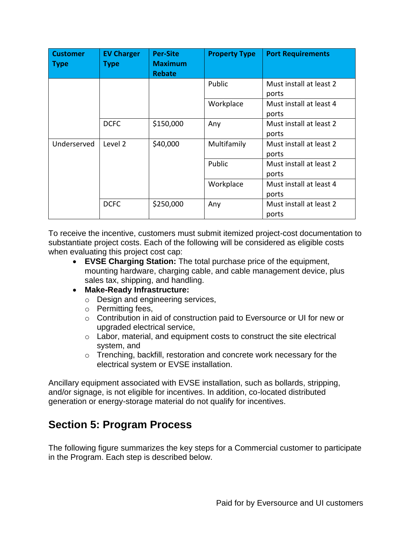| <b>Customer</b><br><b>Type</b> | <b>EV Charger</b><br>Type | <b>Per-Site</b><br><b>Maximum</b><br><b>Rebate</b> | <b>Property Type</b> | <b>Port Requirements</b>         |
|--------------------------------|---------------------------|----------------------------------------------------|----------------------|----------------------------------|
|                                |                           |                                                    | Public               | Must install at least 2<br>ports |
|                                |                           |                                                    | Workplace            | Must install at least 4<br>ports |
|                                | <b>DCFC</b>               | \$150,000                                          | Any                  | Must install at least 2<br>ports |
| Underserved                    | Level 2                   | \$40,000                                           | Multifamily          | Must install at least 2<br>ports |
|                                |                           |                                                    | Public               | Must install at least 2<br>ports |
|                                |                           |                                                    | Workplace            | Must install at least 4<br>ports |
|                                | <b>DCFC</b>               | \$250,000                                          | Any                  | Must install at least 2<br>ports |

To receive the incentive, customers must submit itemized project-cost documentation to substantiate project costs. Each of the following will be considered as eligible costs when evaluating this project cost cap:

- **EVSE Charging Station:** The total purchase price of the equipment, mounting hardware, charging cable, and cable management device, plus sales tax, shipping, and handling.
- **Make-Ready Infrastructure:**
	- o Design and engineering services,
	- o Permitting fees,
	- o Contribution in aid of construction paid to Eversource or UI for new or upgraded electrical service,
	- o Labor, material, and equipment costs to construct the site electrical system, and
	- o Trenching, backfill, restoration and concrete work necessary for the electrical system or EVSE installation.

Ancillary equipment associated with EVSE installation, such as bollards, stripping, and/or signage, is not eligible for incentives. In addition, co-located distributed generation or energy-storage material do not qualify for incentives.

### **Section 5: Program Process**

The following figure summarizes the key steps for a Commercial customer to participate in the Program. Each step is described below.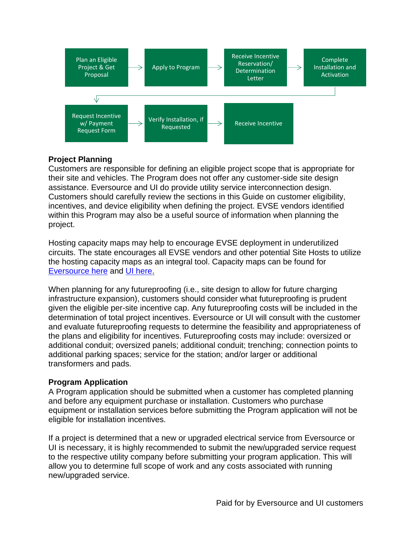

### **Project Planning**

Customers are responsible for defining an eligible project scope that is appropriate for their site and vehicles. The Program does not offer any customer-side site design assistance. Eversource and UI do provide utility service interconnection design. Customers should carefully review the sections in this Guide on customer eligibility, incentives, and device eligibility when defining the project. EVSE vendors identified within this Program may also be a useful source of information when planning the project.

Hosting capacity maps may help to encourage EVSE deployment in underutilized circuits. The state encourages all EVSE vendors and other potential Site Hosts to utilize the hosting capacity maps as an integral tool. Capacity maps can be found for [Eversource here](https://eversource.maps.arcgis.com/apps/webappviewer/index.html?id=6853bd7a3f714868bda7fee7c24d8c59) and [UI here.](https://www.arcgis.com/apps/webappviewer/index.html?id=b5fe4d1060b14b14893a880ddb1e10c8)

When planning for any futureproofing (i.e., site design to allow for future charging infrastructure expansion), customers should consider what futureproofing is prudent given the eligible per-site incentive cap. Any futureproofing costs will be included in the determination of total project incentives. Eversource or UI will consult with the customer and evaluate futureproofing requests to determine the feasibility and appropriateness of the plans and eligibility for incentives. Futureproofing costs may include: oversized or additional conduit; oversized panels; additional conduit; trenching; connection points to additional parking spaces; service for the station; and/or larger or additional transformers and pads.

### **Program Application**

A Program application should be submitted when a customer has completed planning and before any equipment purchase or installation. Customers who purchase equipment or installation services before submitting the Program application will not be eligible for installation incentives.

If a project is determined that a new or upgraded electrical service from Eversource or UI is necessary, it is highly recommended to submit the new/upgraded service request to the respective utility company before submitting your program application. This will allow you to determine full scope of work and any costs associated with running new/upgraded service.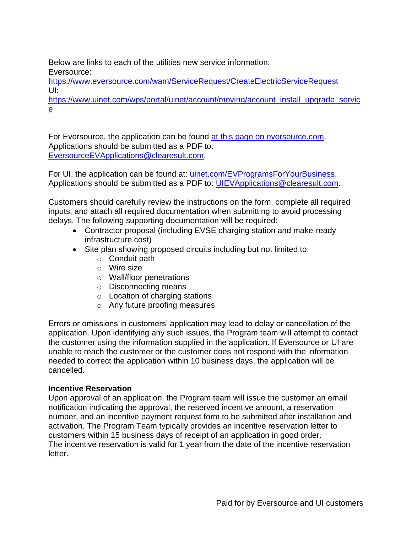Below are links to each of the utilities new service information: Eversource:

<https://www.eversource.com/wam/ServiceRequest/CreateElectricServiceRequest> UI:

[https://www.uinet.com/wps/portal/uinet/account/moving/account\\_install\\_upgrade\\_servic](https://www.uinet.com/wps/portal/uinet/account/moving/account_install_upgrade_service) [e](https://www.uinet.com/wps/portal/uinet/account/moving/account_install_upgrade_service)

For Eversource, the application can be found at [this page on eversource.com.](https://www.eversource.com/content/ct-c/business/save-money-energy/clean-energy-options/business-ev-charging) Applications should be submitted as a PDF to: [EversourceEVApplications@clearesult.com.](mailto:EversourceEVApplications@clearesult.com)

For UI, the application can be found at: [uinet.com/EVProgramsForYourBusiness.](https://www.uinet.com/wps/portal/uinet/smartenergy/electric_vehicles/evprogramsforbusiness/!ut/p/z1/vZPJbsIwEIafpQeOkZ0FEo4hCkubhC37JXKDkxiRBcdQ-vY1EpRKbUlVqfXNo5nf38z8BjEIQVyhI8kRI3WFdvwexYNEFm1zqhjQ0WZKHy7na9t5slwJWhII7iYMZBD_pB5-c3TYVe-DGMRpxRpWgOhAKsxQTpNbDz1YYLTBtAfbElGGK0zz1x7EO5wyStLkiAuS7nDLQ8eG1jlFZZvV9PnQcq22Pas3KdmAaKMgeZBhSejjVBQUDWbCMIV9IVOwMhQlVdmo4jk7MOxkYs1HupUYc8c1QxdEPejNHNPVJ6vE-UA2vZCtz2Tmhcy8kvnvZKa_uJCNazq6kgVdq4nvDzY403bsrksj4gzqTQH6M5Er2GNlOZpLmqWC4EjwC_CqmpbcTevfjXPpmSv-0r9NdgrBY5fv-MeQqG3YOW8IsUIgVVaD8JOteOhLW_Fyst3vY52bt64YPjEQ_oF7m9LzSk0uhRBu-3mpnYRJsLD0hzfBqwx3/dz/d5/L2dBISEvZ0FBIS9nQSEh/?WCM_GLOBAL_CONTEXT=%2FUINETAGR_Navigation%2FHeader%2FSmartEnergy%2FElectric_Vehicles%2FEVProgramsForBusiness) Applications should be submitted as a PDF to: [UIEVApplications@clearesult.com.](mailto:UIEVApplications@clearesult.com)

Customers should carefully review the instructions on the form, complete all required inputs, and attach all required documentation when submitting to avoid processing delays. The following supporting documentation will be required:

- Contractor proposal (including EVSE charging station and make-ready infrastructure cost)
- Site plan showing proposed circuits including but not limited to:
	- o Conduit path
	- $\circ$  Wire size
	- o Wall/floor penetrations
	- o Disconnecting means
	- o Location of charging stations
	- o Any future proofing measures

Errors or omissions in customers' application may lead to delay or cancellation of the application. Upon identifying any such issues, the Program team will attempt to contact the customer using the information supplied in the application. If Eversource or UI are unable to reach the customer or the customer does not respond with the information needed to correct the application within 10 business days, the application will be cancelled.

### **Incentive Reservation**

Upon approval of an application, the Program team will issue the customer an email notification indicating the approval, the reserved incentive amount, a reservation number, and an incentive payment request form to be submitted after installation and activation. The Program Team typically provides an incentive reservation letter to customers within 15 business days of receipt of an application in good order. The incentive reservation is valid for 1 year from the date of the incentive reservation letter.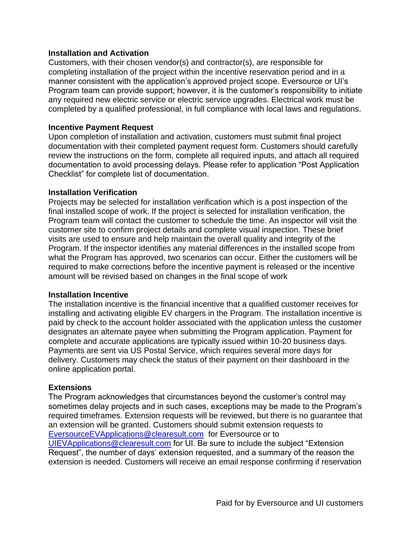#### **Installation and Activation**

Customers, with their chosen vendor(s) and contractor(s), are responsible for completing installation of the project within the incentive reservation period and in a manner consistent with the application's approved project scope. Eversource or UI's Program team can provide support; however, it is the customer's responsibility to initiate any required new electric service or electric service upgrades. Electrical work must be completed by a qualified professional, in full compliance with local laws and regulations.

#### **Incentive Payment Request**

Upon completion of installation and activation, customers must submit final project documentation with their completed payment request form. Customers should carefully review the instructions on the form, complete all required inputs, and attach all required documentation to avoid processing delays. Please refer to application "Post Application Checklist" for complete list of documentation.

#### **Installation Verification**

Projects may be selected for installation verification which is a post inspection of the final installed scope of work. If the project is selected for installation verification, the Program team will contact the customer to schedule the time. An inspector will visit the customer site to confirm project details and complete visual inspection. These brief visits are used to ensure and help maintain the overall quality and integrity of the Program. If the inspector identifies any material differences in the installed scope from what the Program has approved, two scenarios can occur. Either the customers will be required to make corrections before the incentive payment is released or the incentive amount will be revised based on changes in the final scope of work

#### **Installation Incentive**

The installation incentive is the financial incentive that a qualified customer receives for installing and activating eligible EV chargers in the Program. The installation incentive is paid by check to the account holder associated with the application unless the customer designates an alternate payee when submitting the Program application. Payment for complete and accurate applications are typically issued within 10-20 business days. Payments are sent via US Postal Service, which requires several more days for delivery. Customers may check the status of their payment on their dashboard in the online application portal.

#### **Extensions**

The Program acknowledges that circumstances beyond the customer's control may sometimes delay projects and in such cases, exceptions may be made to the Program's required timeframes. Extension requests will be reviewed, but there is no guarantee that an extension will be granted. Customers should submit extension requests to [EversourceEVApplications@clearesult.com](mailto:EversourceEVApplications@clearesult.com) for Eversource or to [UIEVApplications@clearesult.com](mailto:UIEVApplications@clearesult.com) for UI. Be sure to include the subject "Extension Request", the number of days' extension requested, and a summary of the reason the extension is needed. Customers will receive an email response confirming if reservation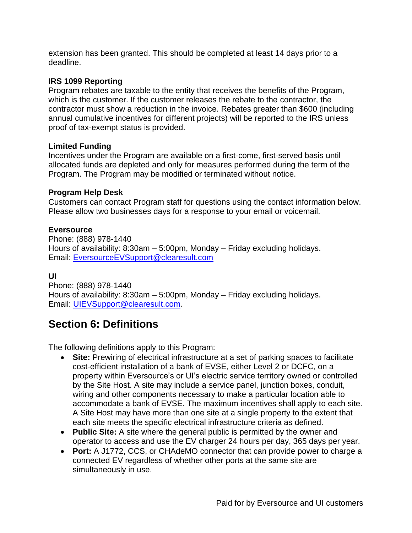extension has been granted. This should be completed at least 14 days prior to a deadline.

### **IRS 1099 Reporting**

Program rebates are taxable to the entity that receives the benefits of the Program, which is the customer. If the customer releases the rebate to the contractor, the contractor must show a reduction in the invoice. Rebates greater than \$600 (including annual cumulative incentives for different projects) will be reported to the IRS unless proof of tax-exempt status is provided.

### **Limited Funding**

Incentives under the Program are available on a first-come, first-served basis until allocated funds are depleted and only for measures performed during the term of the Program. The Program may be modified or terminated without notice.

#### **Program Help Desk**

Customers can contact Program staff for questions using the contact information below. Please allow two businesses days for a response to your email or voicemail.

#### **Eversource**

Phone: (888) 978-1440 Hours of availability: 8:30am – 5:00pm, Monday – Friday excluding holidays. Email: [EversourceEVSupport@clearesult.com](mailto:EversourceEVSupport@clearesult.com)

#### **UI**

Phone: (888) 978-1440 Hours of availability: 8:30am – 5:00pm, Monday – Friday excluding holidays. Email: [UIEVSupport@clearesult.com.](mailto:UIEVSupport@clearesult.com)

### **Section 6: Definitions**

The following definitions apply to this Program:

- **Site:** Prewiring of electrical infrastructure at a set of parking spaces to facilitate cost-efficient installation of a bank of EVSE, either Level 2 or DCFC, on a property within Eversource's or UI's electric service territory owned or controlled by the Site Host. A site may include a service panel, junction boxes, conduit, wiring and other components necessary to make a particular location able to accommodate a bank of EVSE. The maximum incentives shall apply to each site. A Site Host may have more than one site at a single property to the extent that each site meets the specific electrical infrastructure criteria as defined.
- **Public Site:** A site where the general public is permitted by the owner and operator to access and use the EV charger 24 hours per day, 365 days per year.
- **Port:** A J1772, CCS, or CHAdeMO connector that can provide power to charge a connected EV regardless of whether other ports at the same site are simultaneously in use.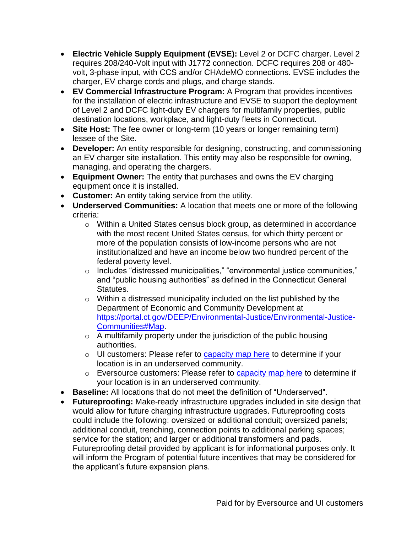- **Electric Vehicle Supply Equipment (EVSE):** Level 2 or DCFC charger. Level 2 requires 208/240-Volt input with J1772 connection. DCFC requires 208 or 480 volt, 3-phase input, with CCS and/or CHAdeMO connections. EVSE includes the charger, EV charge cords and plugs, and charge stands.
- **EV Commercial Infrastructure Program:** A Program that provides incentives for the installation of electric infrastructure and EVSE to support the deployment of Level 2 and DCFC light-duty EV chargers for multifamily properties, public destination locations, workplace, and light-duty fleets in Connecticut.
- **Site Host:** The fee owner or long-term (10 years or longer remaining term) lessee of the Site.
- **Developer:** An entity responsible for designing, constructing, and commissioning an EV charger site installation. This entity may also be responsible for owning, managing, and operating the chargers.
- **Equipment Owner:** The entity that purchases and owns the EV charging equipment once it is installed.
- **Customer:** An entity taking service from the utility.
- **Underserved Communities:** A location that meets one or more of the following criteria:
	- o Within a United States census block group, as determined in accordance with the most recent United States census, for which thirty percent or more of the population consists of low-income persons who are not institutionalized and have an income below two hundred percent of the federal poverty level.
	- o Includes "distressed municipalities," "environmental justice communities," and "public housing authorities" as defined in the Connecticut General Statutes.
	- o Within a distressed municipality included on the list published by the Department of Economic and Community Development at [https://portal.ct.gov/DEEP/Environmental-Justice/Environmental-Justice-](https://portal.ct.gov/DEEP/Environmental-Justice/Environmental-Justice-Communities#Map)[Communities#Map.](https://portal.ct.gov/DEEP/Environmental-Justice/Environmental-Justice-Communities#Map)
	- $\circ$  A multifamily property under the jurisdiction of the public housing authorities.
	- $\circ$  UI customers: Please refer to [capacity map here](https://www.arcgis.com/apps/webappviewer/index.html?id=b5fe4d1060b14b14893a880ddb1e10c8) to determine if your location is in an underserved community.
	- o Eversource customers: Please refer to [capacity map here](https://eversource.maps.arcgis.com/apps/webappviewer/index.html?id=6853bd7a3f714868bda7fee7c24d8c59) to determine if your location is in an underserved community.
- **Baseline:** All locations that do not meet the definition of "Underserved".
- **Futureproofing:** Make-ready infrastructure upgrades included in site design that would allow for future charging infrastructure upgrades. Futureproofing costs could include the following: oversized or additional conduit; oversized panels; additional conduit, trenching, connection points to additional parking spaces; service for the station; and larger or additional transformers and pads. Futureproofing detail provided by applicant is for informational purposes only. It will inform the Program of potential future incentives that may be considered for the applicant's future expansion plans.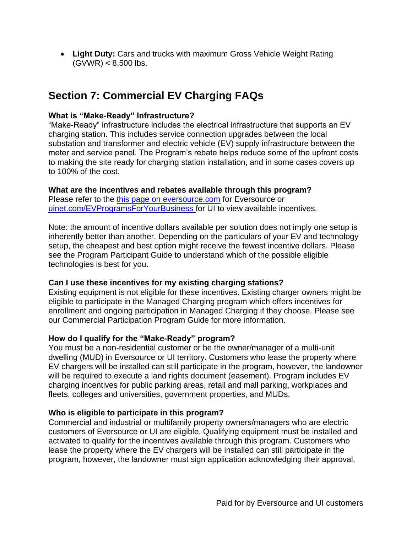• **Light Duty:** Cars and trucks with maximum Gross Vehicle Weight Rating  $(GVWR) < 8,500$  lbs.

### **Section 7: Commercial EV Charging FAQs**

### **What is "Make-Ready" Infrastructure?**

"Make-Ready" infrastructure includes the electrical infrastructure that supports an EV charging station. This includes service connection upgrades between the local substation and transformer and electric vehicle (EV) supply infrastructure between the meter and service panel. The Program's rebate helps reduce some of the upfront costs to making the site ready for charging station installation, and in some cases covers up to 100% of the cost.

### **What are the incentives and rebates available through this program?**

Please refer to the [this page on eversource.com](https://www.eversource.com/content/ct-c/business/save-money-energy/clean-energy-options/business-ev-charging) for Eversource or [uinet.com/EVProgramsForYourBusiness](https://www.uinet.com/wps/portal/uinet/smartenergy/electric_vehicles/evprogramsforbusiness/!ut/p/z1/vZPJbsIwEIafpQeOkZ0FEo4hCkubhC37JXKDkxiRBcdQ-vY1EpRKbUlVqfXNo5nf38z8BjEIQVyhI8kRI3WFdvwexYNEFm1zqhjQ0WZKHy7na9t5slwJWhII7iYMZBD_pB5-c3TYVe-DGMRpxRpWgOhAKsxQTpNbDz1YYLTBtAfbElGGK0zz1x7EO5wyStLkiAuS7nDLQ8eG1jlFZZvV9PnQcq22Pas3KdmAaKMgeZBhSejjVBQUDWbCMIV9IVOwMhQlVdmo4jk7MOxkYs1HupUYc8c1QxdEPejNHNPVJ6vE-UA2vZCtz2Tmhcy8kvnvZKa_uJCNazq6kgVdq4nvDzY403bsrksj4gzqTQH6M5Er2GNlOZpLmqWC4EjwC_CqmpbcTevfjXPpmSv-0r9NdgrBY5fv-MeQqG3YOW8IsUIgVVaD8JOteOhLW_Fyst3vY52bt64YPjEQ_oF7m9LzSk0uhRBu-3mpnYRJsLD0hzfBqwx3/dz/d5/L2dBISEvZ0FBIS9nQSEh/?WCM_GLOBAL_CONTEXT=%2FUINETAGR_Navigation%2FHeader%2FSmartEnergy%2FElectric_Vehicles%2FEVProgramsForBusiness) for UI to view available incentives.

Note: the amount of incentive dollars available per solution does not imply one setup is inherently better than another. Depending on the particulars of your EV and technology setup, the cheapest and best option might receive the fewest incentive dollars. Please see the Program Participant Guide to understand which of the possible eligible technologies is best for you.

### **Can I use these incentives for my existing charging stations?**

Existing equipment is not eligible for these incentives. Existing charger owners might be eligible to participate in the Managed Charging program which offers incentives for enrollment and ongoing participation in Managed Charging if they choose. Please see our Commercial Participation Program Guide for more information.

### **How do I qualify for the "Make-Ready" program?**

You must be a non-residential customer or be the owner/manager of a multi-unit dwelling (MUD) in Eversource or UI territory. Customers who lease the property where EV chargers will be installed can still participate in the program, however, the landowner will be required to execute a land rights document (easement). Program includes EV charging incentives for public parking areas, retail and mall parking, workplaces and fleets, colleges and universities, government properties, and MUDs.

### **Who is eligible to participate in this program?**

Commercial and industrial or multifamily property owners/managers who are electric customers of Eversource or UI are eligible. Qualifying equipment must be installed and activated to qualify for the incentives available through this program. Customers who lease the property where the EV chargers will be installed can still participate in the program, however, the landowner must sign application acknowledging their approval.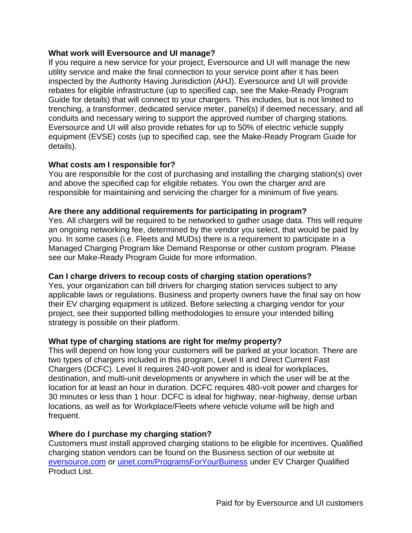### **What work will Eversource and UI manage?**

If you require a new service for your project, Eversource and UI will manage the new utility service and make the final connection to your service point after it has been inspected by the Authority Having Jurisdiction (AHJ). Eversource and UI will provide rebates for eligible infrastructure (up to specified cap, see the Make-Ready Program Guide for details) that will connect to your chargers. This includes, but is not limited to trenching, a transformer, dedicated service meter, panel(s) if deemed necessary, and all conduits and necessary wiring to support the approved number of charging stations. Eversource and UI will also provide rebates for up to 50% of electric vehicle supply equipment (EVSE) costs (up to specified cap, see the Make-Ready Program Guide for details).

### **What costs am I responsible for?**

You are responsible for the cost of purchasing and installing the charging station(s) over and above the specified cap for eligible rebates. You own the charger and are responsible for maintaining and servicing the charger for a minimum of five years.

### **Are there any additional requirements for participating in program?**

Yes. All chargers will be required to be networked to gather usage data. This will require an ongoing networking fee, determined by the vendor you select, that would be paid by you. In some cases (i.e. Fleets and MUDs) there is a requirement to participate in a Managed Charging Program like Demand Response or other custom program. Please see our Make-Ready Program Guide for more information.

### **Can I charge drivers to recoup costs of charging station operations?**

Yes, your organization can bill drivers for charging station services subject to any applicable laws or regulations. Business and property owners have the final say on how their EV charging equipment is utilized. Before selecting a charging vendor for your project, see their supported billing methodologies to ensure your intended billing strategy is possible on their platform.

### **What type of charging stations are right for me/my property?**

This will depend on how long your customers will be parked at your location. There are two types of chargers included in this program, Level II and Direct Current Fast Chargers (DCFC). Level II requires 240-volt power and is ideal for workplaces, destination, and multi-unit developments or anywhere in which the user will be at the location for at least an hour in duration. DCFC requires 480-volt power and charges for 30 minutes or less than 1 hour. DCFC is ideal for highway, near-highway, dense urban locations, as well as for Workplace/Fleets where vehicle volume will be high and frequent.

### **Where do I purchase my charging station?**

Customers must install approved charging stations to be eligible for incentives. Qualified charging station vendors can be found on the Business section of our website at [eversource.com](https://www.eversource.com/content/ct-c/business/save-money-energy/clean-energy-options/business-ev-charging) or [uinet.com/ProgramsForYourBuiness](https://www.uinet.com/wps/portal/uinet/smartenergy/electric_vehicles/evprogramsforbusiness/!ut/p/z1/vZPJbsIwEIafpQeOkZ0FEo4hCkubhC37JXKDkxiRBcdQ-vY1EpRKbUlVqfXNo5nf38z8BjEIQVyhI8kRI3WFdvwexYNEFm1zqhjQ0WZKHy7na9t5slwJWhII7iYMZBD_pB5-c3TYVe-DGMRpxRpWgOhAKsxQTpNbDz1YYLTBtAfbElGGK0zz1x7EO5wyStLkiAuS7nDLQ8eG1jlFZZvV9PnQcq22Pas3KdmAaKMgeZBhSejjVBQUDWbCMIV9IVOwMhQlVdmo4jk7MOxkYs1HupUYc8c1QxdEPejNHNPVJ6vE-UA2vZCtz2Tmhcy8kvnvZKa_uJCNazq6kgVdq4nvDzY403bsrksj4gzqTQH6M5Er2GNlOZpLmqWC4EjwC_CqmpbcTevfjXPpmSv-0r9NdgrBY5fv-MeQqG3YOW8IsUIgVVaD8JOteOhLW_Fyst3vY52bt64YPjEQ_oF7m9LzSk0uhRBu-3mpnYRJsLD0hzfBqwx3/dz/d5/L2dBISEvZ0FBIS9nQSEh/?WCM_GLOBAL_CONTEXT=%2FUINETAGR_Navigation%2FHeader%2FSmartEnergy%2FElectric_Vehicles%2FEVProgramsForBusiness) under EV Charger Qualified Product List.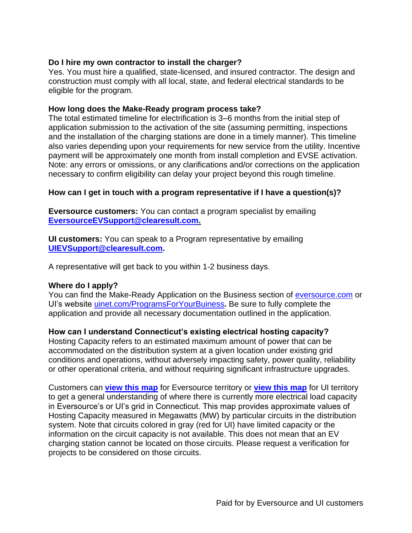### **Do I hire my own contractor to install the charger?**

Yes. You must hire a qualified, state-licensed, and insured contractor. The design and construction must comply with all local, state, and federal electrical standards to be eligible for the program.

#### **How long does the Make-Ready program process take?**

The total estimated timeline for electrification is 3–6 months from the initial step of application submission to the activation of the site (assuming permitting, inspections and the installation of the charging stations are done in a timely manner). This timeline also varies depending upon your requirements for new service from the utility. Incentive payment will be approximately one month from install completion and EVSE activation. Note: any errors or omissions, or any clarifications and/or corrections on the application necessary to confirm eligibility can delay your project beyond this rough timeline.

### **How can I get in touch with a program representative if I have a question(s)?**

**Eversource customers:** You can contact a program specialist by emailing **[EversourceEVSupport@clearesult.com.](mailto:EversourceEVSupport@clearesult.com)**

**UI customers:** You can speak to a Program representative by emailing **[UIEVSupport@clearesult.com.](mailto:UIEVSupport@clearesult.com)**

A representative will get back to you within 1-2 business days.

### **Where do I apply?**

You can find the Make-Ready Application on the Business section of [eversource.com](https://www.eversource.com/content/ct-c/business/save-money-energy/clean-energy-options/business-ev-charging) or UI's website [uinet.com/ProgramsForYourBuiness](https://www.uinet.com/wps/portal/uinet/smartenergy/electric_vehicles/evprogramsforbusiness/!ut/p/z1/vZPJbsIwEIafpQeOkZ0FEo4hCkubhC37JXKDkxiRBcdQ-vY1EpRKbUlVqfXNo5nf38z8BjEIQVyhI8kRI3WFdvwexYNEFm1zqhjQ0WZKHy7na9t5slwJWhII7iYMZBD_pB5-c3TYVe-DGMRpxRpWgOhAKsxQTpNbDz1YYLTBtAfbElGGK0zz1x7EO5wyStLkiAuS7nDLQ8eG1jlFZZvV9PnQcq22Pas3KdmAaKMgeZBhSejjVBQUDWbCMIV9IVOwMhQlVdmo4jk7MOxkYs1HupUYc8c1QxdEPejNHNPVJ6vE-UA2vZCtz2Tmhcy8kvnvZKa_uJCNazq6kgVdq4nvDzY403bsrksj4gzqTQH6M5Er2GNlOZpLmqWC4EjwC_CqmpbcTevfjXPpmSv-0r9NdgrBY5fv-MeQqG3YOW8IsUIgVVaD8JOteOhLW_Fyst3vY52bt64YPjEQ_oF7m9LzSk0uhRBu-3mpnYRJsLD0hzfBqwx3/dz/d5/L2dBISEvZ0FBIS9nQSEh/?WCM_GLOBAL_CONTEXT=%2FUINETAGR_Navigation%2FHeader%2FSmartEnergy%2FElectric_Vehicles%2FEVProgramsForBusiness)**.** Be sure to fully complete the application and provide all necessary documentation outlined in the application.

### **How can I understand Connecticut's existing electrical hosting capacity?**

Hosting Capacity refers to an estimated maximum amount of power that can be accommodated on the distribution system at a given location under existing grid conditions and operations, without adversely impacting safety, power quality, reliability or other operational criteria, and without requiring significant infrastructure upgrades.

Customers can **[view this map](https://eversource.maps.arcgis.com/apps/webappviewer/index.html?id=6853bd7a3f714868bda7fee7c24d8c59)** for Eversource territory or **[view this map](https://www.arcgis.com/apps/webappviewer/index.html?id=b5fe4d1060b14b14893a880ddb1e10c8)** for UI territory to get a general understanding of where there is currently more electrical load capacity in Eversource's or UI's grid in Connecticut. This map provides approximate values of Hosting Capacity measured in Megawatts (MW) by particular circuits in the distribution system. Note that circuits colored in gray (red for UI) have limited capacity or the information on the circuit capacity is not available. This does not mean that an EV charging station cannot be located on those circuits. Please request a verification for projects to be considered on those circuits.